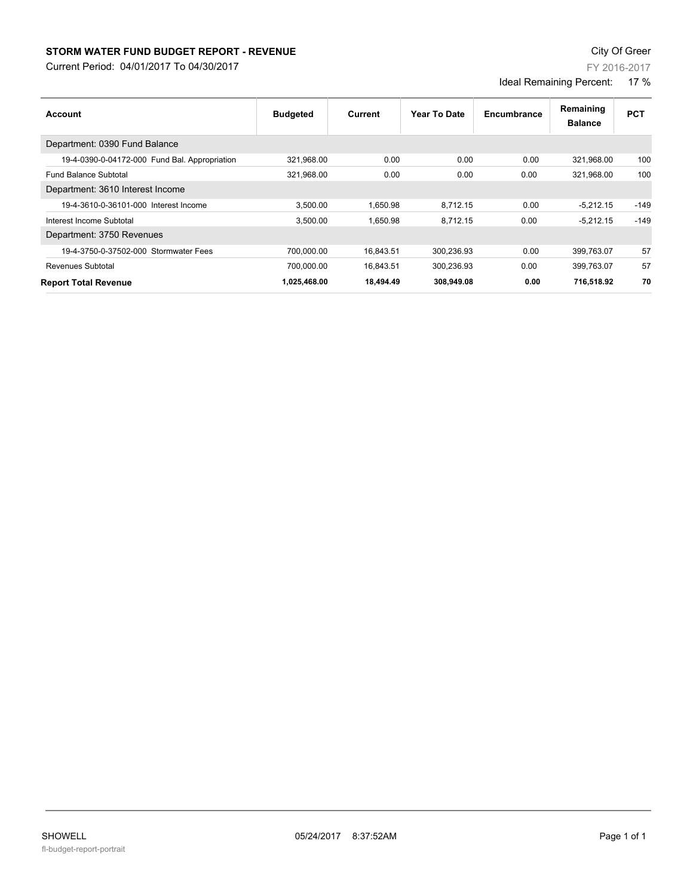## **STORM WATER FUND BUDGET REPORT - REVENUE CONSTRUCTED ASSESSMENT CONSTRUCTED ASSESSMENT CONSTRUCTED ASSESSMENT CONSTRUCTED ASSESSMENT CONSTRUCTED ASSESSMENT CONSTRUCTED ASSESSMENT CONSTRUCTED ASSESSMENT CONSTRUCTED ASSES**

**Account Year To Date Encumbrance**

19-4-0390-0-04172-000 Fund Bal. Appropriation 321,968.00 0.00 0.00 0.00 321,968.00 100 Fund Balance Subtotal 321,968.00 0.00 0.00 0.00 321,968.00 100

19-4-3610-0-36101-000 Interest Income 3,500.00 1,650.98 8,712.15 0.00 -5,212.15 -149 Interest Income Subtotal 3,500.00 1,650.98 8,712.15 0.00 -5,212.15 -149

**Budgeted** 

Current Period: 04/01/2017 To 04/30/2017

Department: 0390 Fund Balance

Department: 3610 Interest Income

Department: 3750 Revenues

| <b>Report Total Revenue</b>           | 1.025.468.00 | 18.494.49 | 308.949.08 | 0.00 | 716.518.92 | 70 |
|---------------------------------------|--------------|-----------|------------|------|------------|----|
| Revenues Subtotal                     | 700.000.00   | 16.843.51 | 300.236.93 | 0.00 | 399.763.07 | 57 |
| 19-4-3750-0-37502-000 Stormwater Fees | 700.000.00   | 16.843.51 | 300.236.93 | 0.00 | 399.763.07 | 57 |

FY 2016-2017

Ideal Remaining Percent: 17 %

> **Balance Remaining PCT**